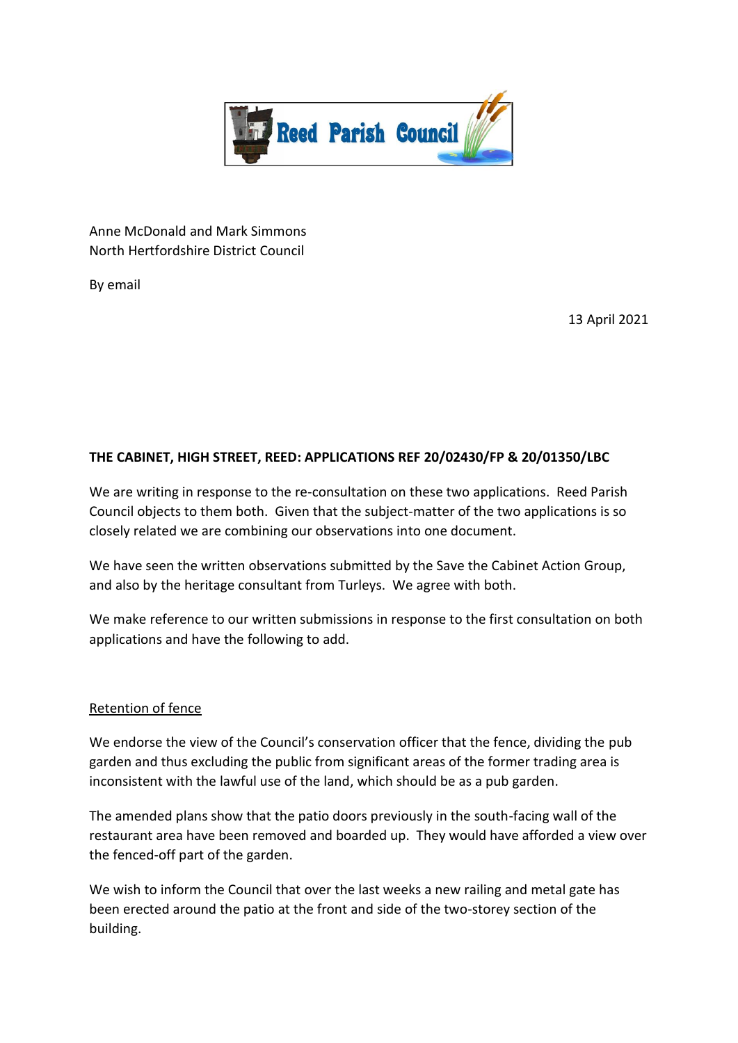

Anne McDonald and Mark Simmons North Hertfordshire District Council

By email

13 April 2021

# **THE CABINET, HIGH STREET, REED: APPLICATIONS REF 20/02430/FP & 20/01350/LBC**

We are writing in response to the re-consultation on these two applications. Reed Parish Council objects to them both. Given that the subject-matter of the two applications is so closely related we are combining our observations into one document.

We have seen the written observations submitted by the Save the Cabinet Action Group, and also by the heritage consultant from Turleys. We agree with both.

We make reference to our written submissions in response to the first consultation on both applications and have the following to add.

#### Retention of fence

We endorse the view of the Council's conservation officer that the fence, dividing the pub garden and thus excluding the public from significant areas of the former trading area is inconsistent with the lawful use of the land, which should be as a pub garden.

The amended plans show that the patio doors previously in the south-facing wall of the restaurant area have been removed and boarded up. They would have afforded a view over the fenced-off part of the garden.

We wish to inform the Council that over the last weeks a new railing and metal gate has been erected around the patio at the front and side of the two-storey section of the building.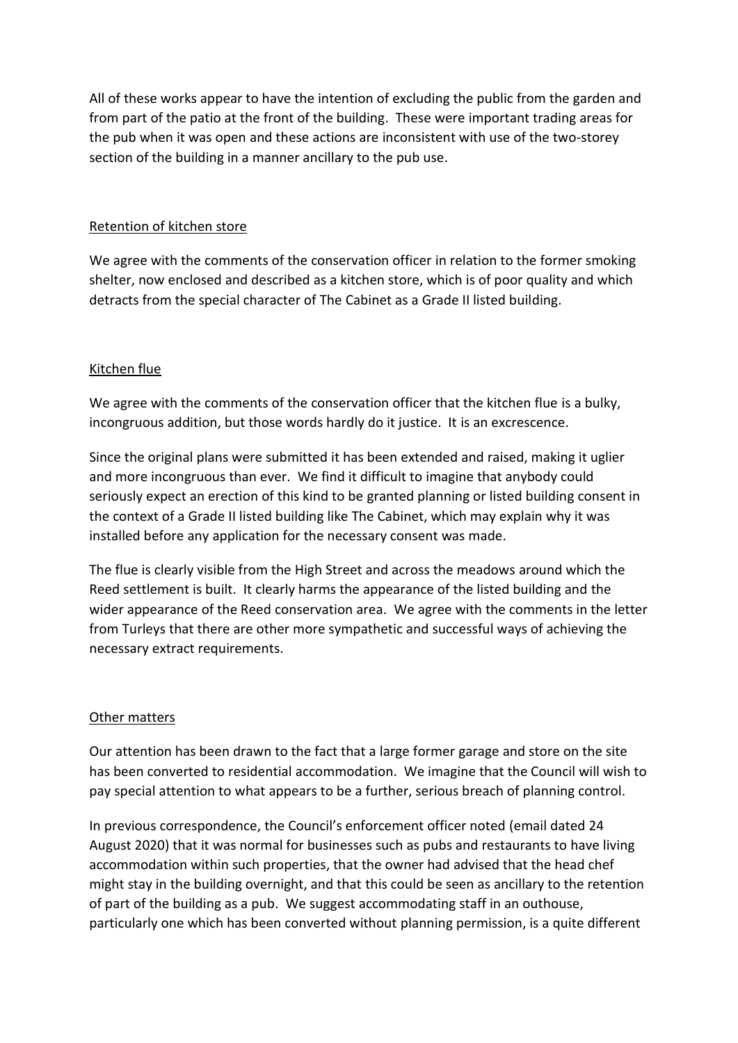All of these works appear to have the intention of excluding the public from the garden and from part of the patio at the front of the building. These were important trading areas for the pub when it was open and these actions are inconsistent with use of the two-storey section of the building in a manner ancillary to the pub use.

### Retention of kitchen store

We agree with the comments of the conservation officer in relation to the former smoking shelter, now enclosed and described as a kitchen store, which is of poor quality and which detracts from the special character of The Cabinet as a Grade II listed building.

## Kitchen flue

We agree with the comments of the conservation officer that the kitchen flue is a bulky, incongruous addition, but those words hardly do it justice. It is an excrescence.

Since the original plans were submitted it has been extended and raised, making it uglier and more incongruous than ever. We find it difficult to imagine that anybody could seriously expect an erection of this kind to be granted planning or listed building consent in the context of a Grade II listed building like The Cabinet, which may explain why it was installed before any application for the necessary consent was made.

The flue is clearly visible from the High Street and across the meadows around which the Reed settlement is built. It clearly harms the appearance of the listed building and the wider appearance of the Reed conservation area. We agree with the comments in the letter from Turleys that there are other more sympathetic and successful ways of achieving the necessary extract requirements.

## Other matters

Our attention has been drawn to the fact that a large former garage and store on the site has been converted to residential accommodation. We imagine that the Council will wish to pay special attention to what appears to be a further, serious breach of planning control.

In previous correspondence, the Council's enforcement officer noted (email dated 24 August 2020) that it was normal for businesses such as pubs and restaurants to have living accommodation within such properties, that the owner had advised that the head chef might stay in the building overnight, and that this could be seen as ancillary to the retention of part of the building as a pub. We suggest accommodating staff in an outhouse, particularly one which has been converted without planning permission, is a quite different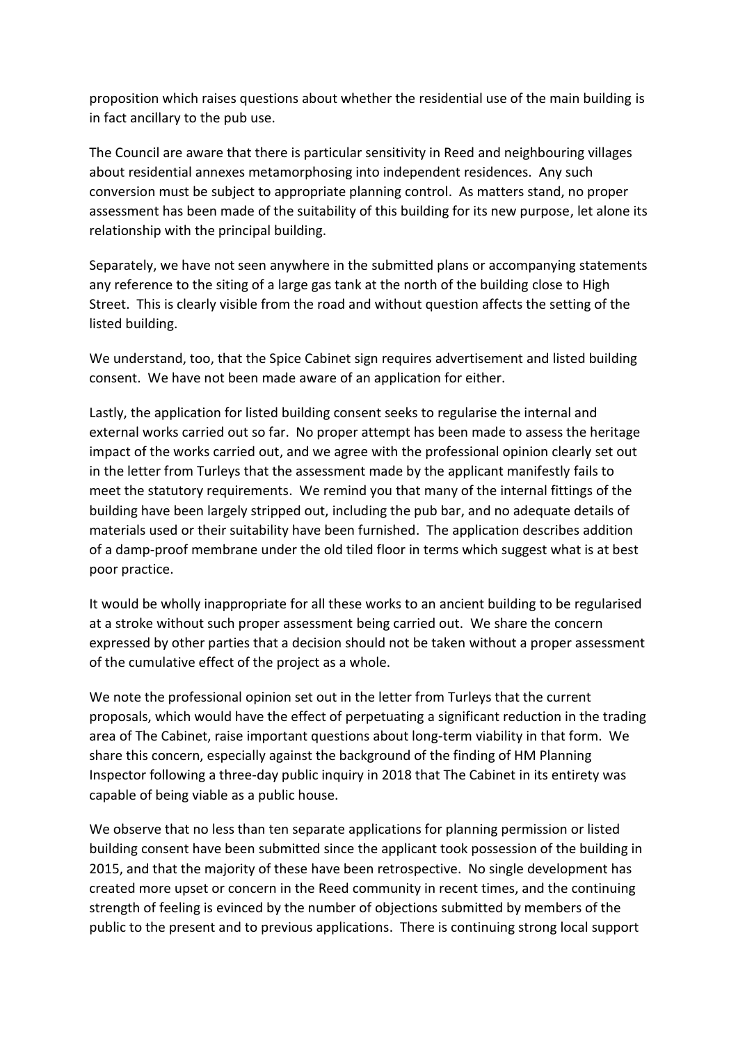proposition which raises questions about whether the residential use of the main building is in fact ancillary to the pub use.

The Council are aware that there is particular sensitivity in Reed and neighbouring villages about residential annexes metamorphosing into independent residences. Any such conversion must be subject to appropriate planning control. As matters stand, no proper assessment has been made of the suitability of this building for its new purpose, let alone its relationship with the principal building.

Separately, we have not seen anywhere in the submitted plans or accompanying statements any reference to the siting of a large gas tank at the north of the building close to High Street. This is clearly visible from the road and without question affects the setting of the listed building.

We understand, too, that the Spice Cabinet sign requires advertisement and listed building consent. We have not been made aware of an application for either.

Lastly, the application for listed building consent seeks to regularise the internal and external works carried out so far. No proper attempt has been made to assess the heritage impact of the works carried out, and we agree with the professional opinion clearly set out in the letter from Turleys that the assessment made by the applicant manifestly fails to meet the statutory requirements. We remind you that many of the internal fittings of the building have been largely stripped out, including the pub bar, and no adequate details of materials used or their suitability have been furnished. The application describes addition of a damp-proof membrane under the old tiled floor in terms which suggest what is at best poor practice.

It would be wholly inappropriate for all these works to an ancient building to be regularised at a stroke without such proper assessment being carried out. We share the concern expressed by other parties that a decision should not be taken without a proper assessment of the cumulative effect of the project as a whole.

We note the professional opinion set out in the letter from Turleys that the current proposals, which would have the effect of perpetuating a significant reduction in the trading area of The Cabinet, raise important questions about long-term viability in that form. We share this concern, especially against the background of the finding of HM Planning Inspector following a three-day public inquiry in 2018 that The Cabinet in its entirety was capable of being viable as a public house.

We observe that no less than ten separate applications for planning permission or listed building consent have been submitted since the applicant took possession of the building in 2015, and that the majority of these have been retrospective. No single development has created more upset or concern in the Reed community in recent times, and the continuing strength of feeling is evinced by the number of objections submitted by members of the public to the present and to previous applications. There is continuing strong local support